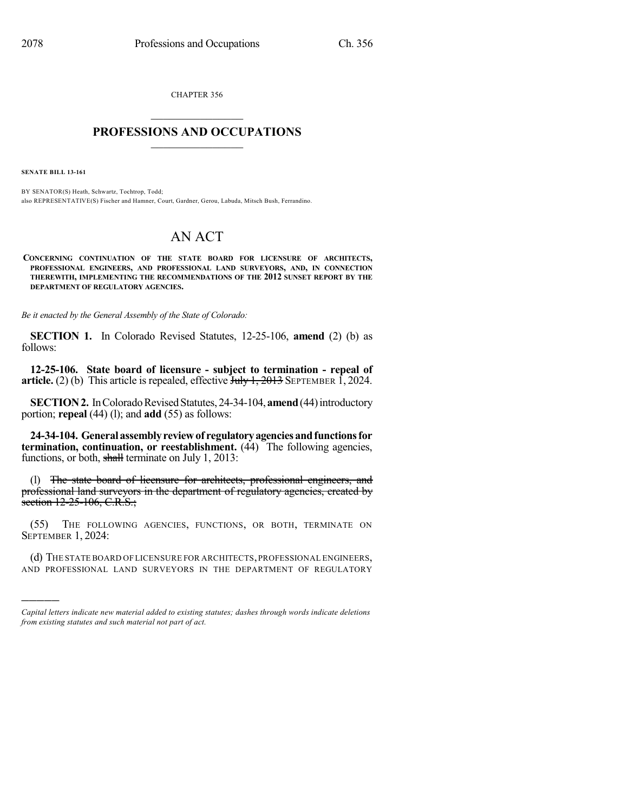CHAPTER 356  $\overline{\phantom{a}}$  . The set of the set of the set of the set of the set of the set of the set of the set of the set of the set of the set of the set of the set of the set of the set of the set of the set of the set of the set o

### **PROFESSIONS AND OCCUPATIONS**  $\frac{1}{2}$  ,  $\frac{1}{2}$  ,  $\frac{1}{2}$  ,  $\frac{1}{2}$  ,  $\frac{1}{2}$  ,  $\frac{1}{2}$

**SENATE BILL 13-161**

)))))

BY SENATOR(S) Heath, Schwartz, Tochtrop, Todd; also REPRESENTATIVE(S) Fischer and Hamner, Court, Gardner, Gerou, Labuda, Mitsch Bush, Ferrandino.

# AN ACT

**CONCERNING CONTINUATION OF THE STATE BOARD FOR LICENSURE OF ARCHITECTS, PROFESSIONAL ENGINEERS, AND PROFESSIONAL LAND SURVEYORS, AND, IN CONNECTION THEREWITH, IMPLEMENTING THE RECOMMENDATIONS OF THE 2012 SUNSET REPORT BY THE DEPARTMENT OF REGULATORY AGENCIES.**

*Be it enacted by the General Assembly of the State of Colorado:*

**SECTION 1.** In Colorado Revised Statutes, 12-25-106, **amend** (2) (b) as follows:

**12-25-106. State board of licensure - subject to termination - repeal of article.** (2) (b) This article is repealed, effective  $\overline{J_{\text{t}}J_{\text{t}}+2013}$  SEPTEMBER 1, 2024.

**SECTION 2.** In Colorado Revised Statutes, 24-34-104, **amend** (44) introductory portion; **repeal** (44) (l); and **add** (55) as follows:

**24-34-104. Generalassemblyreviewof regulatoryagenciesandfunctionsfor termination, continuation, or reestablishment.** (44) The following agencies, functions, or both, shall terminate on July 1, 2013:

(l) The state board of licensure for architects, professional engineers, and professional land surveyors in the department of regulatory agencies, created by section 12-25-106, C.R.S.;

(55) THE FOLLOWING AGENCIES, FUNCTIONS, OR BOTH, TERMINATE ON SEPTEMBER 1, 2024:

(d) THE STATE BOARD OF LICENSURE FOR ARCHITECTS,PROFESSIONAL ENGINEERS, AND PROFESSIONAL LAND SURVEYORS IN THE DEPARTMENT OF REGULATORY

*Capital letters indicate new material added to existing statutes; dashes through words indicate deletions from existing statutes and such material not part of act.*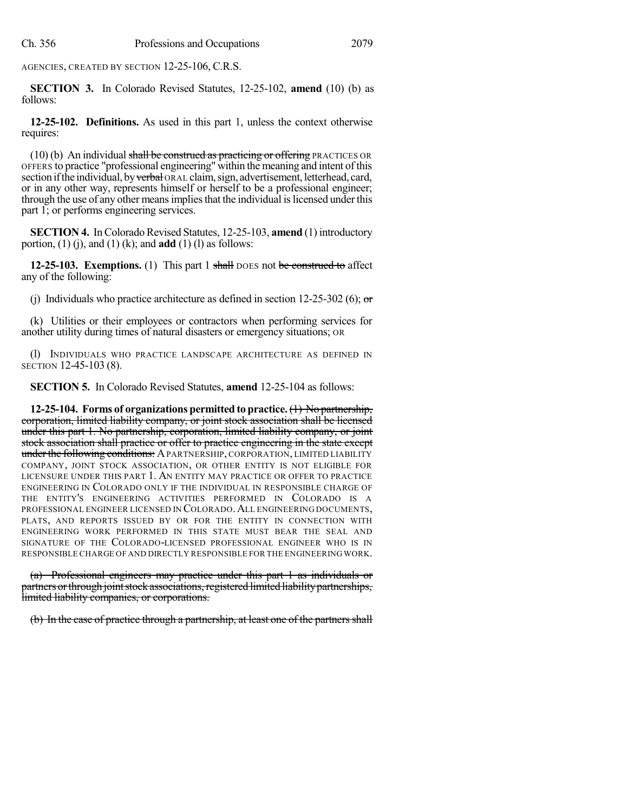AGENCIES, CREATED BY SECTION 12-25-106, C.R.S.

**SECTION 3.** In Colorado Revised Statutes, 12-25-102, **amend** (10) (b) as follows:

**12-25-102. Definitions.** As used in this part 1, unless the context otherwise requires:

(10) (b) An individual shall be construed as practicing or offering PRACTICES OR OFFERS to practice "professional engineering" within the meaning and intent of this section if the individual, by verbal ORAL claim, sign, advertisement, letterhead, card, or in any other way, represents himself or herself to be a professional engineer; through the use of any other meansimpliesthat the individual islicensed under this part 1; or performs engineering services.

**SECTION 4.** In Colorado Revised Statutes, 12-25-103, **amend** (1) introductory portion, (1) (j), and (1) (k); and **add** (1) (l) as follows:

**12-25-103. Exemptions.** (1) This part 1 shall DOES not be construed to affect any of the following:

(j) Individuals who practice architecture as defined in section 12-25-302 (6);  $\sigma$ 

(k) Utilities or their employees or contractors when performing services for another utility during times of natural disasters or emergency situations; OR

(l) INDIVIDUALS WHO PRACTICE LANDSCAPE ARCHITECTURE AS DEFINED IN SECTION 12-45-103 (8).

**SECTION 5.** In Colorado Revised Statutes, **amend** 12-25-104 as follows:

**12-25-104. Forms of organizations permitted to practice.**(1) No partnership, corporation, limited liability company, or joint stock association shall be licensed under this part 1. No partnership, corporation, limited liability company, or joint stock association shall practice or offer to practice engineering in the state except under the following conditions: A PARTNERSHIP, CORPORATION, LIMITED LIABILITY COMPANY, JOINT STOCK ASSOCIATION, OR OTHER ENTITY IS NOT ELIGIBLE FOR LICENSURE UNDER THIS PART 1. AN ENTITY MAY PRACTICE OR OFFER TO PRACTICE ENGINEERING IN COLORADO ONLY IF THE INDIVIDUAL IN RESPONSIBLE CHARGE OF THE ENTITY'S ENGINEERING ACTIVITIES PERFORMED IN COLORADO IS A PROFESSIONAL ENGINEER LICENSED IN COLORADO.ALL ENGINEERING DOCUMENTS, PLATS, AND REPORTS ISSUED BY OR FOR THE ENTITY IN CONNECTION WITH ENGINEERING WORK PERFORMED IN THIS STATE MUST BEAR THE SEAL AND SIGNATURE OF THE COLORADO-LICENSED PROFESSIONAL ENGINEER WHO IS IN RESPONSIBLE CHARGE OF AND DIRECTLY RESPONSIBLE FOR THE ENGINEERING WORK.

(a) Professional engineers may practice under this part 1 as individuals or partners or through joint stock associations, registered limited liability partnerships, limited liability companies, or corporations.

(b) In the case of practice through a partnership, at least one of the partners shall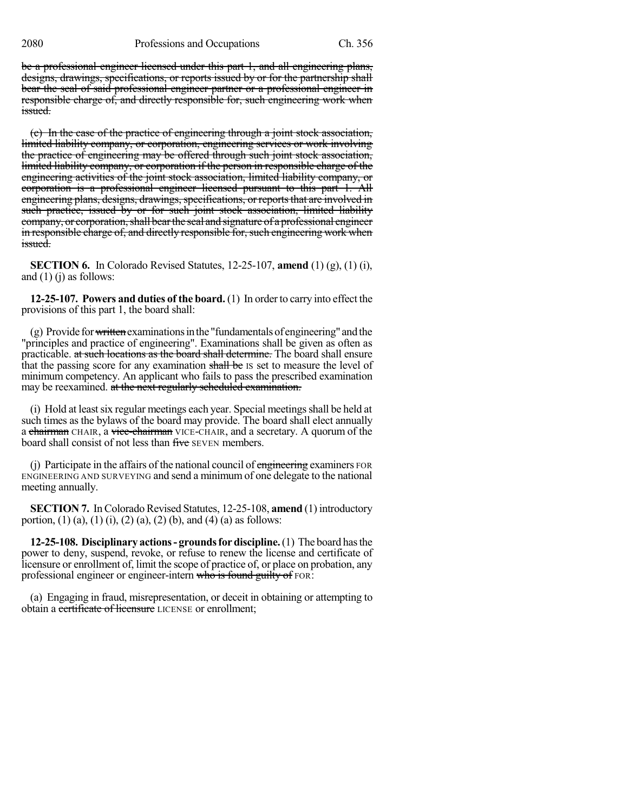be a professional engineer licensed under this part 1, and all engineering plans, designs, drawings, specifications, or reports issued by or for the partnership shall bear the seal of said professional engineer partner or a professional engineer in responsible charge of, and directly responsible for, such engineering work when issued.

(c) In the case of the practice of engineering through a joint stock association, limited liability company, or corporation, engineering services or work involving the practice of engineering may be offered through such joint stock association, limited liability company, or corporation if the person in responsible charge of the engineering activities of the joint stock association, limited liability company, or corporation is a professional engineer licensed pursuant to this part 1. All engineering plans, designs, drawings, specifications, or reports that are involved in such practice, issued by or for such joint stock association, limited liability company, or corporation, shall bear the seal and signature of a professional engineer in responsible charge of, and directly responsible for, such engineering work when issued.

**SECTION 6.** In Colorado Revised Statutes, 12-25-107, **amend** (1) (g), (1) (i), and  $(1)$  (j) as follows:

**12-25-107. Powers and duties of the board.** (1) In orderto carry into effect the provisions of this part 1, the board shall:

 $(g)$  Provide for written examinations in the "fundamentals of engineering" and the "principles and practice of engineering". Examinations shall be given as often as practicable. at such locations as the board shall determine. The board shall ensure that the passing score for any examination shall be IS set to measure the level of minimum competency. An applicant who fails to pass the prescribed examination may be reexamined. at the next regularly scheduled examination.

(i) Hold at least six regular meetings each year. Special meetings shall be held at such times as the bylaws of the board may provide. The board shall elect annually a chairman CHAIR, a vice-chairman VICE-CHAIR, and a secretary. A quorum of the board shall consist of not less than five SEVEN members.

(i) Participate in the affairs of the national council of  $\overline{e}$  engineering examiners FOR ENGINEERING AND SURVEYING and send a minimum of one delegate to the national meeting annually.

**SECTION 7.** In Colorado Revised Statutes, 12-25-108, **amend** (1) introductory portion, (1) (a), (1) (i), (2) (a), (2) (b), and (4) (a) as follows:

**12-25-108. Disciplinary actions- groundsfordiscipline.**(1) The board hasthe power to deny, suspend, revoke, or refuse to renew the license and certificate of licensure or enrollment of, limit the scope of practice of, or place on probation, any professional engineer or engineer-intern who is found guilty of FOR:

(a) Engaging in fraud, misrepresentation, or deceit in obtaining or attempting to obtain a certificate of licensure LICENSE or enrollment;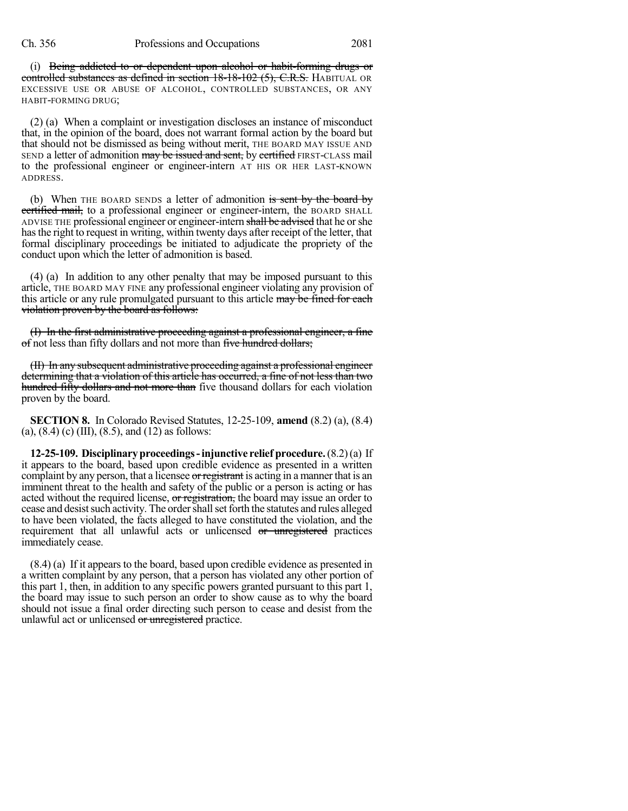(i) Being addicted to or dependent upon alcohol or habit-forming drugs or controlled substances as defined in section 18-18-102 (5), C.R.S. HABITUAL OR EXCESSIVE USE OR ABUSE OF ALCOHOL, CONTROLLED SUBSTANCES, OR ANY HABIT-FORMING DRUG;

(2) (a) When a complaint or investigation discloses an instance of misconduct that, in the opinion of the board, does not warrant formal action by the board but that should not be dismissed as being without merit, THE BOARD MAY ISSUE AND SEND a letter of admonition may be issued and sent, by certified FIRST-CLASS mail to the professional engineer or engineer-intern AT HIS OR HER LAST-KNOWN ADDRESS.

(b) When THE BOARD SENDS a letter of admonition is sent by the board by ertified mail, to a professional engineer or engineer-intern, the BOARD SHALL ADVISE THE professional engineer or engineer-intern shall be advised that he or she hasthe right to request in writing, within twenty days after receipt of the letter, that formal disciplinary proceedings be initiated to adjudicate the propriety of the conduct upon which the letter of admonition is based.

(4) (a) In addition to any other penalty that may be imposed pursuant to this article, THE BOARD MAY FINE any professional engineer violating any provision of this article or any rule promulgated pursuant to this article may be fined for each violation proven by the board as follows:

(I) In the first administrative proceeding against a professional engineer, a fine of not less than fifty dollars and not more than five hundred dollars;

(II) In any subsequent administrative proceeding against a professional engineer determining that a violation of this article has occurred, a fine of not less than two hundred fifty dollars and not more than five thousand dollars for each violation proven by the board.

**SECTION 8.** In Colorado Revised Statutes, 12-25-109, **amend** (8.2) (a), (8.4) (a),  $(8.4)$  (c) (III),  $(8.5)$ , and  $(12)$  as follows:

**12-25-109. Disciplinaryproceedings-injunctive relief procedure.**(8.2)(a) If it appears to the board, based upon credible evidence as presented in a written complaint by any person, that a licensee or registrant is acting in a manner that is an imminent threat to the health and safety of the public or a person is acting or has acted without the required license, or registration, the board may issue an order to cease and desist such activity. The order shall set forth the statutes and rules alleged to have been violated, the facts alleged to have constituted the violation, and the requirement that all unlawful acts or unlicensed or unregistered practices immediately cease.

(8.4) (a) If it appears to the board, based upon credible evidence as presented in a written complaint by any person, that a person has violated any other portion of this part 1, then, in addition to any specific powers granted pursuant to this part 1, the board may issue to such person an order to show cause as to why the board should not issue a final order directing such person to cease and desist from the unlawful act or unlicensed or unregistered practice.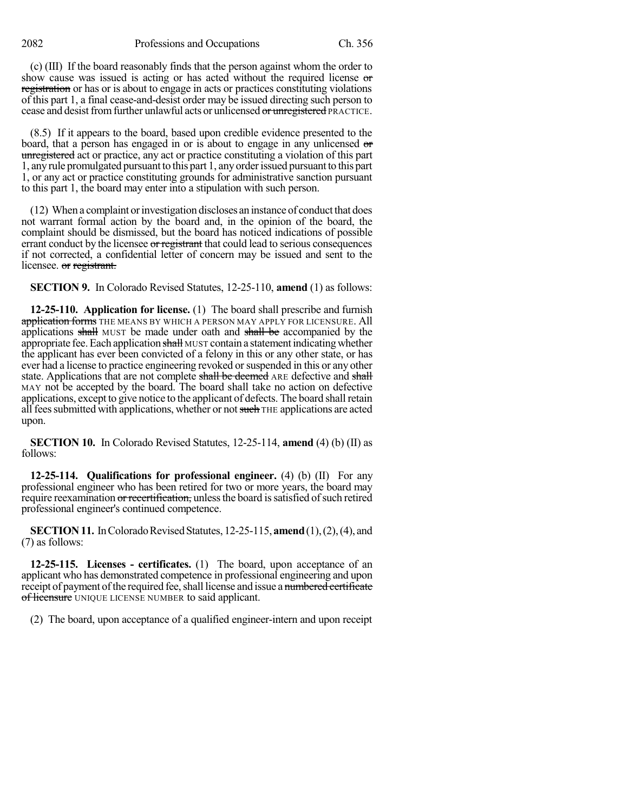(c) (III) If the board reasonably finds that the person against whom the order to show cause was issued is acting or has acted without the required license or registration or has or is about to engage in acts or practices constituting violations of this part 1, a final cease-and-desist order may be issued directing such person to cease and desist from further unlawful acts or unlicensed or unregistered PRACTICE.

(8.5) If it appears to the board, based upon credible evidence presented to the board, that a person has engaged in or is about to engage in any unlicensed or unregistered act or practice, any act or practice constituting a violation of this part 1, anyrule promulgated pursuant to this part 1, any orderissued pursuantto this part 1, or any act or practice constituting grounds for administrative sanction pursuant to this part 1, the board may enter into a stipulation with such person.

(12) When a complaint orinvestigation discloses an instance of conductthat does not warrant formal action by the board and, in the opinion of the board, the complaint should be dismissed, but the board has noticed indications of possible errant conduct by the licensee or registrant that could lead to serious consequences if not corrected, a confidential letter of concern may be issued and sent to the licensee. or registrant.

**SECTION 9.** In Colorado Revised Statutes, 12-25-110, **amend** (1) as follows:

**12-25-110. Application for license.** (1) The board shall prescribe and furnish application forms THE MEANS BY WHICH A PERSON MAY APPLY FOR LICENSURE. All applications shall MUST be made under oath and shall be accompanied by the appropriate fee. Each application shall MUST contain a statement indicating whether the applicant has ever been convicted of a felony in this or any other state, or has ever had a license to practice engineering revoked or suspended in this or any other state. Applications that are not complete shall be deemed ARE defective and shall MAY not be accepted by the board. The board shall take no action on defective applications, except to give notice to the applicant of defects. The board shall retain all fees submitted with applications, whether or not such THE applications are acted upon.

**SECTION 10.** In Colorado Revised Statutes, 12-25-114, **amend** (4) (b) (II) as follows:

**12-25-114. Qualifications for professional engineer.** (4) (b) (II) For any professional engineer who has been retired for two or more years, the board may require reexamination or recertification, unless the board is satisfied of such retired professional engineer's continued competence.

**SECTION 11.** In Colorado Revised Statutes, 12-25-115, **amend** (1), (2), (4), and (7) as follows:

**12-25-115. Licenses - certificates.** (1) The board, upon acceptance of an applicant who has demonstrated competence in professional engineering and upon receipt of payment of the required fee, shall license and issue a numbered certificate of licensure UNIQUE LICENSE NUMBER to said applicant.

(2) The board, upon acceptance of a qualified engineer-intern and upon receipt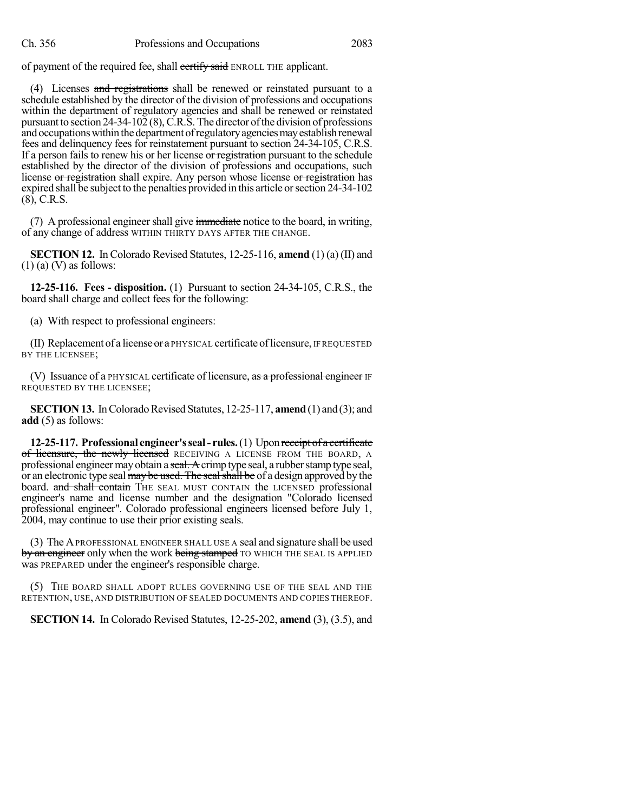of payment of the required fee, shall certify said ENROLL THE applicant.

(4) Licenses and registrations shall be renewed or reinstated pursuant to a schedule established by the director of the division of professions and occupations within the department of regulatory agencies and shall be renewed or reinstated pursuant to section  $24-34-102(8)$ , C.R.S. The director of the division of professions and occupations within the department of regulatory agencies may establish renewal fees and delinquency fees for reinstatement pursuant to section 24-34-105, C.R.S. If a person fails to renew his or her license or registration pursuant to the schedule established by the director of the division of professions and occupations, such license or registration shall expire. Any person whose license or registration has expired shall be subject to the penalties provided in this article orsection 24-34-102 (8), C.R.S.

(7) A professional engineer shall give immediate notice to the board, in writing, of any change of address WITHIN THIRTY DAYS AFTER THE CHANGE.

**SECTION 12.** In Colorado Revised Statutes, 12-25-116, **amend** (1) (a) (II) and  $(1)$  (a) (V) as follows:

**12-25-116. Fees - disposition.** (1) Pursuant to section 24-34-105, C.R.S., the board shall charge and collect fees for the following:

(a) With respect to professional engineers:

(II) Replacement of a license or a PHYSICAL certificate of licensure, IF REQUESTED BY THE LICENSEE;

(V) Issuance of a PHYSICAL certificate of licensure, as a professional engineer IF REQUESTED BY THE LICENSEE;

**SECTION 13.** In Colorado Revised Statutes, 12-25-117, **amend** (1) and (3); and **add** (5) as follows:

**12-25-117. Professional engineer'sseal- rules.**(1) Upon receipt of a certificate of licensure, the newly licensed RECEIVING A LICENSE FROM THE BOARD, A professional engineer may obtain a seal. A crimp type seal, a rubber stamp type seal, or an electronic type seal may be used. The seal shall be of a design approved by the board. and shall contain THE SEAL MUST CONTAIN the LICENSED professional engineer's name and license number and the designation "Colorado licensed professional engineer". Colorado professional engineers licensed before July 1, 2004, may continue to use their prior existing seals.

(3) The APROFESSIONAL ENGINEER SHALL USE A seal and signature shall be used by an engineer only when the work being stamped TO WHICH THE SEAL IS APPLIED was PREPARED under the engineer's responsible charge.

(5) THE BOARD SHALL ADOPT RULES GOVERNING USE OF THE SEAL AND THE RETENTION, USE, AND DISTRIBUTION OF SEALED DOCUMENTS AND COPIES THEREOF.

**SECTION 14.** In Colorado Revised Statutes, 12-25-202, **amend** (3), (3.5), and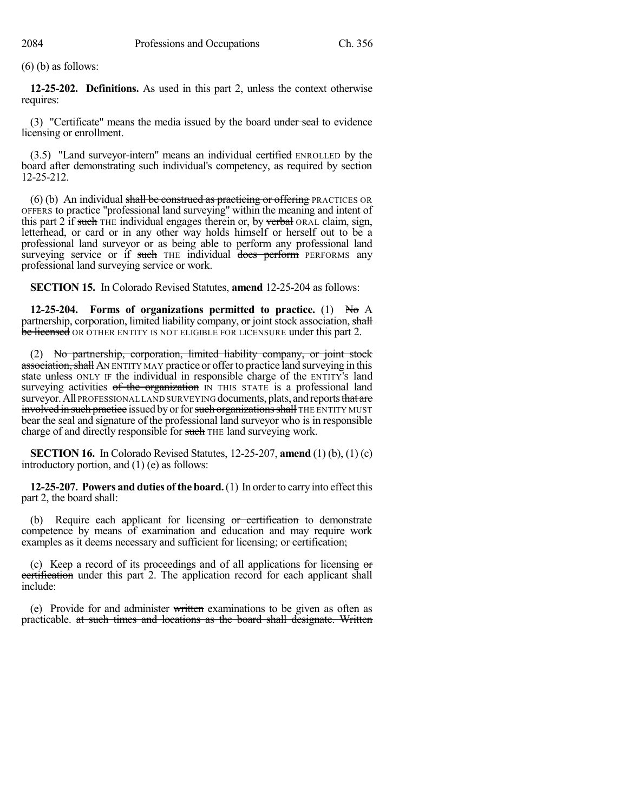(6) (b) as follows:

**12-25-202. Definitions.** As used in this part 2, unless the context otherwise requires:

(3) "Certificate" means the media issued by the board under seal to evidence licensing or enrollment.

(3.5) "Land surveyor-intern" means an individual certified ENROLLED by the board after demonstrating such individual's competency, as required by section 12-25-212.

(6) (b) An individual shall be construed as practicing or offering PRACTICES OR OFFERS to practice "professional land surveying" within the meaning and intent of this part 2 if such THE individual engages therein or, by verbal ORAL claim, sign, letterhead, or card or in any other way holds himself or herself out to be a professional land surveyor or as being able to perform any professional land surveying service or if such THE individual does perform PERFORMS any professional land surveying service or work.

**SECTION 15.** In Colorado Revised Statutes, **amend** 12-25-204 as follows:

**12-25-204. Forms of organizations permitted to practice.** (1) No A partnership, corporation, limited liability company,  $\sigma$  joint stock association, shall be licensed OR OTHER ENTITY IS NOT ELIGIBLE FOR LICENSURE under this part 2.

(2) No partnership, corporation, limited liability company, or joint stock association, shall AN ENTITY MAY practice or offer to practice land surveying in this state unless ONLY IF the individual in responsible charge of the ENTITY's land surveying activities of the organization IN THIS STATE is a professional land surveyor. All PROFESSIONAL LAND SURVEYING documents, plats, and reports that are involved in such practice issued by or for such organizations shall THE ENTITY MUST bear the seal and signature of the professional land surveyor who is in responsible charge of and directly responsible for such THE land surveying work.

**SECTION 16.** In Colorado Revised Statutes, 12-25-207, **amend** (1) (b), (1) (c) introductory portion, and (1) (e) as follows:

**12-25-207. Powers and duties of the board.**(1) In orderto carry into effect this part 2, the board shall:

(b) Require each applicant for licensing or certification to demonstrate competence by means of examination and education and may require work examples as it deems necessary and sufficient for licensing; or certification;

(c) Keep a record of its proceedings and of all applications for licensing or certification under this part 2. The application record for each applicant shall include:

(e) Provide for and administer written examinations to be given as often as practicable. at such times and locations as the board shall designate. Written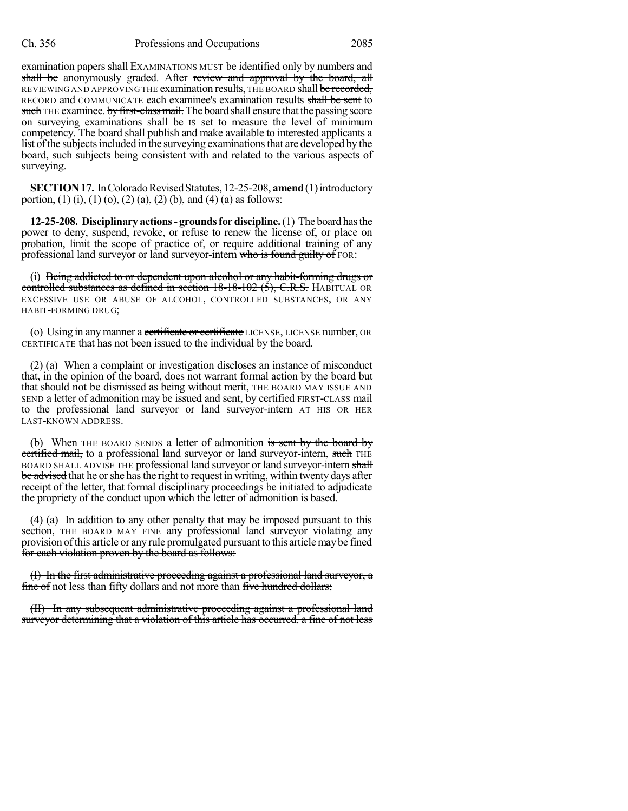examination papers shall EXAMINATIONS MUST be identified only by numbers and shall be anonymously graded. After review and approval by the board, all REVIEWING AND APPROVING THE examination results, THE BOARD shall be recorded, RECORD and COMMUNICATE each examinee's examination results shall be sent to such THE examinee. by first-class mail. The board shall ensure that the passing score on surveying examinations shall be is set to measure the level of minimum competency. The board shall publish and make available to interested applicants a list of the subjects included in the surveying examinations that are developed by the board, such subjects being consistent with and related to the various aspects of surveying.

**SECTION 17.** In Colorado Revised Statutes, 12-25-208, **amend** (1) introductory portion, (1) (i), (1) (o), (2) (a), (2) (b), and (4) (a) as follows:

**12-25-208. Disciplinary actions- groundsfordiscipline.**(1) The board hasthe power to deny, suspend, revoke, or refuse to renew the license of, or place on probation, limit the scope of practice of, or require additional training of any professional land surveyor or land surveyor-intern who is found guilty of FOR:

(i) Being addicted to or dependent upon alcohol or any habit-forming drugs or controlled substances as defined in section  $18-18-102$  (5), C.R.S. HABITUAL OR EXCESSIVE USE OR ABUSE OF ALCOHOL, CONTROLLED SUBSTANCES, OR ANY HABIT-FORMING DRUG;

(o) Using in any manner a certificate or certificate LICENSE, LICENSE number, OR CERTIFICATE that has not been issued to the individual by the board.

(2) (a) When a complaint or investigation discloses an instance of misconduct that, in the opinion of the board, does not warrant formal action by the board but that should not be dismissed as being without merit, THE BOARD MAY ISSUE AND SEND a letter of admonition may be issued and sent, by certified FIRST-CLASS mail to the professional land surveyor or land surveyor-intern AT HIS OR HER LAST-KNOWN ADDRESS.

(b) When THE BOARD SENDS a letter of admonition is sent by the board by certified mail, to a professional land surveyor or land surveyor-intern, such THE BOARD SHALL ADVISE THE professional land surveyor or land surveyor-intern shall be advised that he or she has the right to request in writing, within twenty days after receipt of the letter, that formal disciplinary proceedings be initiated to adjudicate the propriety of the conduct upon which the letter of admonition is based.

(4) (a) In addition to any other penalty that may be imposed pursuant to this section, THE BOARD MAY FINE any professional land surveyor violating any provision of this article or any rule promulgated pursuant to this article may be fined for each violation proven by the board as follows:

(I) In the first administrative proceeding against a professional land surveyor, a fine of not less than fifty dollars and not more than five hundred dollars;

(II) In any subsequent administrative proceeding against a professional land surveyor determining that a violation of this article has occurred, a fine of not less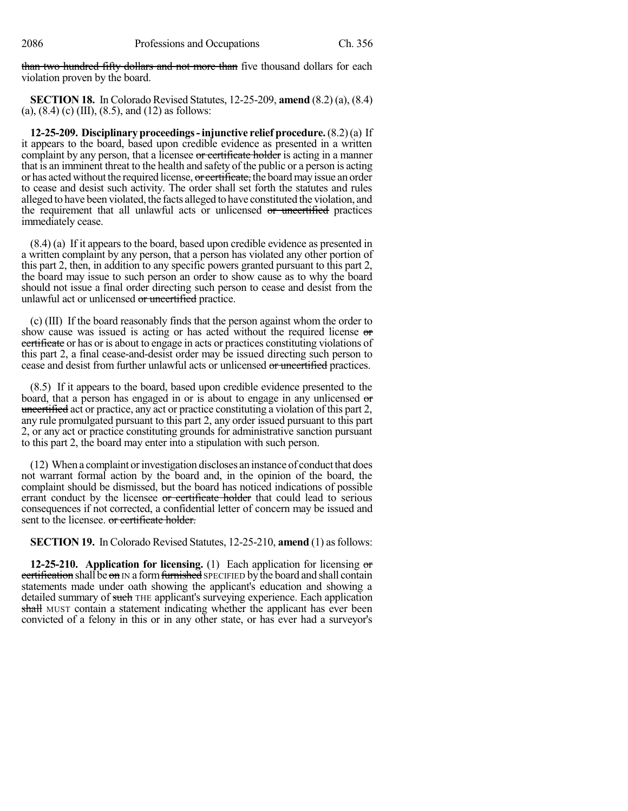than two hundred fifty dollars and not more than five thousand dollars for each violation proven by the board.

**SECTION 18.** In Colorado Revised Statutes, 12-25-209, **amend** (8.2) (a), (8.4) (a),  $(8.4)$  (c) (III),  $(8.5)$ , and  $(12)$  as follows:

**12-25-209. Disciplinaryproceedings-injunctive relief procedure.**(8.2)(a) If it appears to the board, based upon credible evidence as presented in a written complaint by any person, that a licensee or certificate holder is acting in a manner that is an imminent threat to the health and safety of the public or a person is acting or has acted without the required license, or certificate, the board may issue an order to cease and desist such activity. The order shall set forth the statutes and rules alleged to have been violated, the facts alleged to have constituted the violation, and the requirement that all unlawful acts or unlicensed or uncertified practices immediately cease.

(8.4) (a) If it appears to the board, based upon credible evidence as presented in a written complaint by any person, that a person has violated any other portion of this part 2, then, in addition to any specific powers granted pursuant to this part 2, the board may issue to such person an order to show cause as to why the board should not issue a final order directing such person to cease and desist from the unlawful act or unlicensed or uncertified practice.

(c) (III) If the board reasonably finds that the person against whom the order to show cause was issued is acting or has acted without the required license or certificate or has or is about to engage in acts or practices constituting violations of this part 2, a final cease-and-desist order may be issued directing such person to cease and desist from further unlawful acts or unlicensed or uncertified practices.

(8.5) If it appears to the board, based upon credible evidence presented to the board, that a person has engaged in or is about to engage in any unlicensed or uncertified act or practice, any act or practice constituting a violation of this part 2, any rule promulgated pursuant to this part 2, any order issued pursuant to this part 2, or any act or practice constituting grounds for administrative sanction pursuant to this part 2, the board may enter into a stipulation with such person.

(12) When a complaint orinvestigation discloses an instance of conductthat does not warrant formal action by the board and, in the opinion of the board, the complaint should be dismissed, but the board has noticed indications of possible errant conduct by the licensee or certificate holder that could lead to serious consequences if not corrected, a confidential letter of concern may be issued and sent to the licensee. or certificate holder.

**SECTION 19.** In Colorado Revised Statutes, 12-25-210, **amend** (1) asfollows:

**12-25-210. Application for licensing.** (1) Each application for licensing or certification shall be on  $\overline{IN}$  a form furnished SPECIFIED by the board and shall contain statements made under oath showing the applicant's education and showing a detailed summary of such THE applicant's surveying experience. Each application shall MUST contain a statement indicating whether the applicant has ever been convicted of a felony in this or in any other state, or has ever had a surveyor's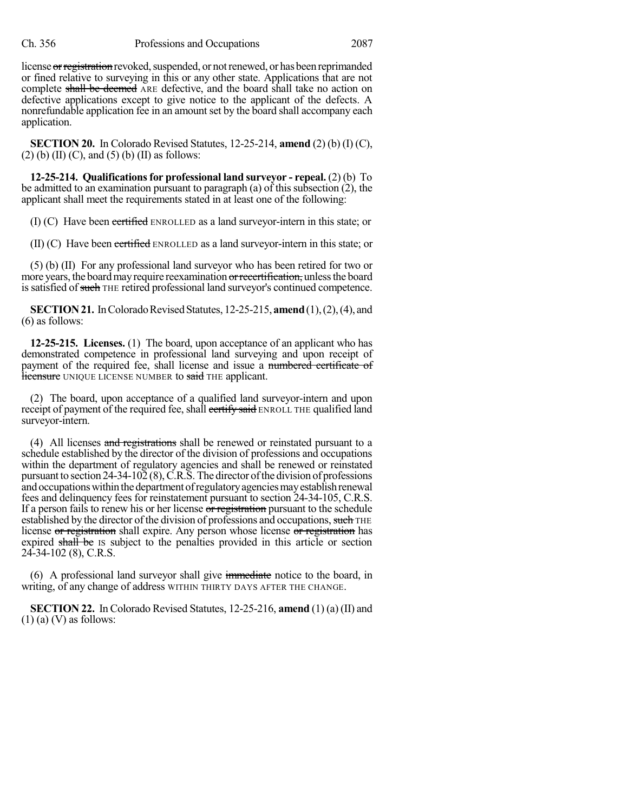license or registration revoked, suspended, or not renewed, or has been reprimanded or fined relative to surveying in this or any other state. Applications that are not complete shall be deemed ARE defective, and the board shall take no action on defective applications except to give notice to the applicant of the defects. A nonrefundable application fee in an amount set by the board shall accompany each application.

**SECTION 20.** In Colorado Revised Statutes, 12-25-214, **amend** (2) (b) (I) (C),  $(2)$  (b) (II) (C), and (5) (b) (II) as follows:

**12-25-214. Qualificationsfor professional land surveyor - repeal.** (2) (b) To be admitted to an examination pursuant to paragraph (a) of this subsection (2), the applicant shall meet the requirements stated in at least one of the following:

(I) (C) Have been certified ENROLLED as a land surveyor-intern in this state; or

(II) (C) Have been certified ENROLLED as a land surveyor-intern in this state; or

(5) (b) (II) For any professional land surveyor who has been retired for two or more years, the board may require reexamination or recertification, unless the board is satisfied of such THE retired professional land surveyor's continued competence.

**SECTION 21.** In Colorado Revised Statutes, 12-25-215, **amend** (1), (2), (4), and (6) as follows:

**12-25-215. Licenses.** (1) The board, upon acceptance of an applicant who has demonstrated competence in professional land surveying and upon receipt of payment of the required fee, shall license and issue a numbered certificate of **licensure** UNIQUE LICENSE NUMBER to said THE applicant.

(2) The board, upon acceptance of a qualified land surveyor-intern and upon receipt of payment of the required fee, shall certify said ENROLL THE qualified land surveyor-intern.

(4) All licenses and registrations shall be renewed or reinstated pursuant to a schedule established by the director of the division of professions and occupations within the department of regulatory agencies and shall be renewed or reinstated pursuant to section  $24-34-102(8)$ , C.R.S. The director of the division of professions and occupations within the department of regulatory agencies may establish renewal fees and delinquency fees for reinstatement pursuant to section 24-34-105, C.R.S. If a person fails to renew his or her license or registration pursuant to the schedule established by the director of the division of professions and occupations, such THE license or registration shall expire. Any person whose license or registration has expired shall be is subject to the penalties provided in this article or section 24-34-102 (8), C.R.S.

(6) A professional land surveyor shall give immediate notice to the board, in writing, of any change of address WITHIN THIRTY DAYS AFTER THE CHANGE.

**SECTION 22.** In Colorado Revised Statutes, 12-25-216, **amend** (1) (a) (II) and  $(1)$  (a)  $(V)$  as follows: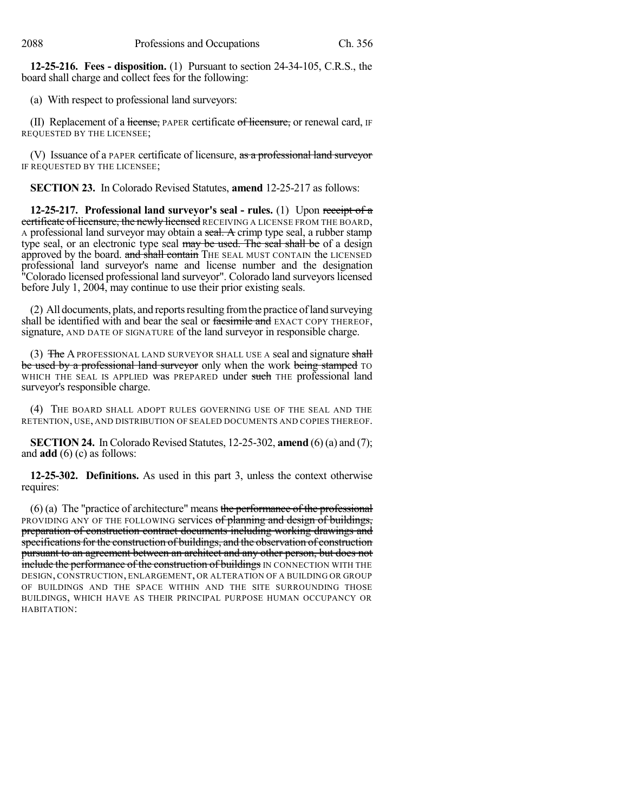**12-25-216. Fees - disposition.** (1) Pursuant to section 24-34-105, C.R.S., the board shall charge and collect fees for the following:

(a) With respect to professional land surveyors:

(II) Replacement of a license, PAPER certificate of licensure, or renewal card, IF REQUESTED BY THE LICENSEE;

(V) Issuance of a PAPER certificate of licensure, as a professional land surveyor IF REQUESTED BY THE LICENSEE;

**SECTION 23.** In Colorado Revised Statutes, **amend** 12-25-217 as follows:

**12-25-217. Professional land surveyor's seal - rules.** (1) Upon receipt of a certificate of licensure, the newly licensed RECEIVING A LICENSE FROM THE BOARD, A professional land surveyor may obtain a seal. A crimp type seal, a rubber stamp type seal, or an electronic type seal may be used. The seal shall be of a design approved by the board. and shall contain THE SEAL MUST CONTAIN the LICENSED professional land surveyor's name and license number and the designation "Colorado licensed professional land surveyor". Colorado land surveyors licensed before July 1, 2004, may continue to use their prior existing seals.

(2) All documents, plats, and reports resulting from the practice of land surveying shall be identified with and bear the seal or face simile and EXACT COPY THEREOF, signature, AND DATE OF SIGNATURE of the land surveyor in responsible charge.

(3) The A PROFESSIONAL LAND SURVEYOR SHALL USE A seal and signature shall be used by a professional land surveyor only when the work being stamped TO WHICH THE SEAL IS APPLIED was PREPARED under such THE professional land surveyor's responsible charge.

(4) THE BOARD SHALL ADOPT RULES GOVERNING USE OF THE SEAL AND THE RETENTION, USE, AND DISTRIBUTION OF SEALED DOCUMENTS AND COPIES THEREOF.

**SECTION 24.** In Colorado Revised Statutes,  $12{\text -}25{\text -}302$ , **amend** (6) (a) and (7); and **add** (6) (c) as follows:

**12-25-302. Definitions.** As used in this part 3, unless the context otherwise requires:

 $(6)$  (a) The "practice of architecture" means the performance of the professional PROVIDING ANY OF THE FOLLOWING services of planning and design of buildings, preparation of construction contract documents including working drawings and specifications for the construction of buildings, and the observation of construction pursuant to an agreement between an architect and any other person, but does not **include the performance of the construction of buildings** IN CONNECTION WITH THE DESIGN, CONSTRUCTION, ENLARGEMENT, OR ALTERATION OF A BUILDING OR GROUP OF BUILDINGS AND THE SPACE WITHIN AND THE SITE SURROUNDING THOSE BUILDINGS, WHICH HAVE AS THEIR PRINCIPAL PURPOSE HUMAN OCCUPANCY OR HABITATION: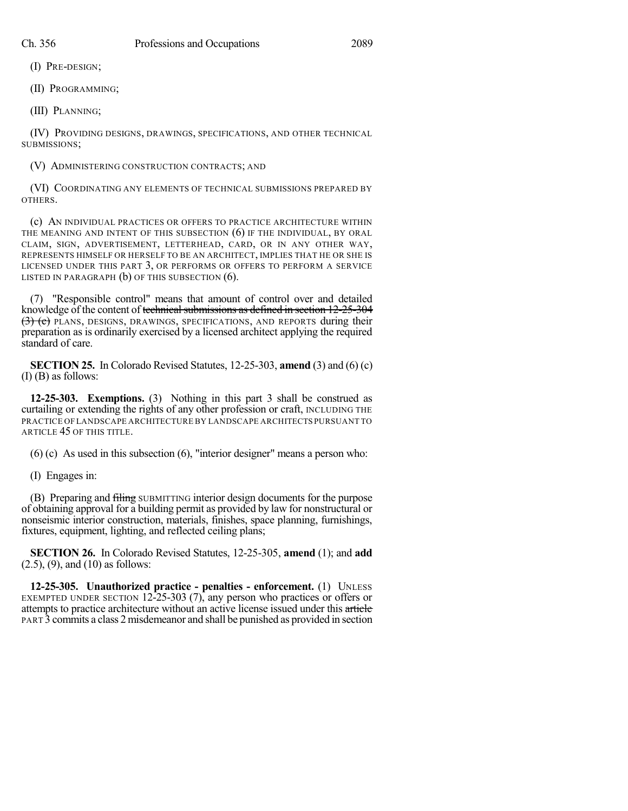(I) PRE-DESIGN;

(II) PROGRAMMING;

(III) PLANNING;

(IV) PROVIDING DESIGNS, DRAWINGS, SPECIFICATIONS, AND OTHER TECHNICAL SUBMISSIONS;

# (V) ADMINISTERING CONSTRUCTION CONTRACTS; AND

(VI) COORDINATING ANY ELEMENTS OF TECHNICAL SUBMISSIONS PREPARED BY OTHERS.

(c) AN INDIVIDUAL PRACTICES OR OFFERS TO PRACTICE ARCHITECTURE WITHIN THE MEANING AND INTENT OF THIS SUBSECTION (6) IF THE INDIVIDUAL, BY ORAL CLAIM, SIGN, ADVERTISEMENT, LETTERHEAD, CARD, OR IN ANY OTHER WAY, REPRESENTS HIMSELF OR HERSELF TO BE AN ARCHITECT, IMPLIES THAT HE OR SHE IS LICENSED UNDER THIS PART 3, OR PERFORMS OR OFFERS TO PERFORM A SERVICE LISTED IN PARAGRAPH (b) OF THIS SUBSECTION (6).

(7) "Responsible control" means that amount of control over and detailed knowledge of the content of technical submissions as defined in section 12-25-304 (3) (e) PLANS, DESIGNS, DRAWINGS, SPECIFICATIONS, AND REPORTS during their preparation as is ordinarily exercised by a licensed architect applying the required standard of care.

**SECTION 25.** In Colorado Revised Statutes, 12-25-303, **amend** (3) and (6) (c) (I) (B) as follows:

**12-25-303. Exemptions.** (3) Nothing in this part 3 shall be construed as curtailing or extending the rights of any other profession or craft, INCLUDING THE PRACTICE OF LANDSCAPE ARCHITECTURE BY LANDSCAPE ARCHITECTS PURSUANT TO ARTICLE 45 OF THIS TITLE.

(6) (c) As used in this subsection (6), "interior designer" means a person who:

(I) Engages in:

(B) Preparing and filing SUBMITTING interior design documents for the purpose of obtaining approval for a building permit as provided by law for nonstructural or nonseismic interior construction, materials, finishes, space planning, furnishings, fixtures, equipment, lighting, and reflected ceiling plans;

**SECTION 26.** In Colorado Revised Statutes, 12-25-305, **amend** (1); and **add** (2.5), (9), and (10) as follows:

**12-25-305. Unauthorized practice - penalties - enforcement.** (1) UNLESS EXEMPTED UNDER SECTION 12-25-303 (7), any person who practices or offers or attempts to practice architecture without an active license issued under this article PART 3 commits a class 2 misdemeanor and shall be punished as provided in section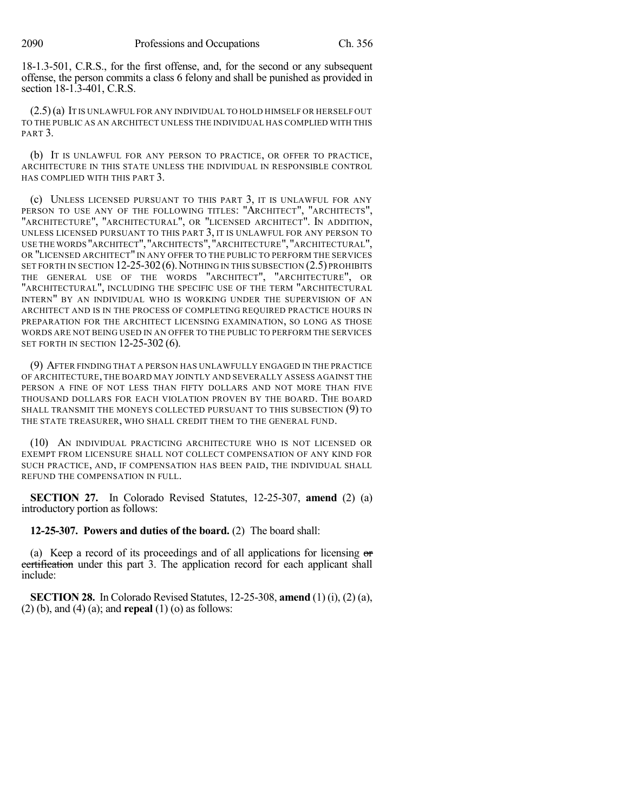18-1.3-501, C.R.S., for the first offense, and, for the second or any subsequent offense, the person commits a class 6 felony and shall be punished as provided in section 18-1.3-401, C.R.S.

(2.5)(a) IT IS UNLAWFUL FOR ANY INDIVIDUAL TO HOLD HIMSELF OR HERSELF OUT TO THE PUBLIC AS AN ARCHITECT UNLESS THE INDIVIDUAL HAS COMPLIED WITH THIS PART<sub>3</sub>.

(b) IT IS UNLAWFUL FOR ANY PERSON TO PRACTICE, OR OFFER TO PRACTICE, ARCHITECTURE IN THIS STATE UNLESS THE INDIVIDUAL IN RESPONSIBLE CONTROL HAS COMPLIED WITH THIS PART 3.

(c) UNLESS LICENSED PURSUANT TO THIS PART 3, IT IS UNLAWFUL FOR ANY PERSON TO USE ANY OF THE FOLLOWING TITLES: "ARCHITECT", "ARCHITECTS", "ARCHITECTURE", "ARCHITECTURAL", OR "LICENSED ARCHITECT". IN ADDITION, UNLESS LICENSED PURSUANT TO THIS PART 3, IT IS UNLAWFUL FOR ANY PERSON TO USE THE WORDS "ARCHITECT","ARCHITECTS","ARCHITECTURE","ARCHITECTURAL", OR "LICENSED ARCHITECT" IN ANY OFFER TO THE PUBLIC TO PERFORM THE SERVICES SET FORTH IN SECTION 12-25-302 (6). NOTHING IN THIS SUBSECTION (2.5) PROHIBITS THE GENERAL USE OF THE WORDS "ARCHITECT", "ARCHITECTURE", OR "ARCHITECTURAL", INCLUDING THE SPECIFIC USE OF THE TERM "ARCHITECTURAL INTERN" BY AN INDIVIDUAL WHO IS WORKING UNDER THE SUPERVISION OF AN ARCHITECT AND IS IN THE PROCESS OF COMPLETING REQUIRED PRACTICE HOURS IN PREPARATION FOR THE ARCHITECT LICENSING EXAMINATION, SO LONG AS THOSE WORDS ARE NOT BEING USED IN AN OFFER TO THE PUBLIC TO PERFORM THE SERVICES SET FORTH IN SECTION 12-25-302 (6).

(9) AFTER FINDING THAT A PERSON HAS UNLAWFULLY ENGAGED IN THE PRACTICE OF ARCHITECTURE, THE BOARD MAY JOINTLY AND SEVERALLY ASSESS AGAINST THE PERSON A FINE OF NOT LESS THAN FIFTY DOLLARS AND NOT MORE THAN FIVE THOUSAND DOLLARS FOR EACH VIOLATION PROVEN BY THE BOARD. THE BOARD SHALL TRANSMIT THE MONEYS COLLECTED PURSUANT TO THIS SUBSECTION (9) TO THE STATE TREASURER, WHO SHALL CREDIT THEM TO THE GENERAL FUND.

(10) AN INDIVIDUAL PRACTICING ARCHITECTURE WHO IS NOT LICENSED OR EXEMPT FROM LICENSURE SHALL NOT COLLECT COMPENSATION OF ANY KIND FOR SUCH PRACTICE, AND, IF COMPENSATION HAS BEEN PAID, THE INDIVIDUAL SHALL REFUND THE COMPENSATION IN FULL.

**SECTION 27.** In Colorado Revised Statutes, 12-25-307, **amend** (2) (a) introductory portion as follows:

**12-25-307. Powers and duties of the board.** (2) The board shall:

(a) Keep a record of its proceedings and of all applications for licensing or certification under this part 3. The application record for each applicant shall include:

**SECTION 28.** In Colorado Revised Statutes, 12-25-308, **amend** (1) (i), (2) (a), (2) (b), and (4) (a); and **repeal** (1) (o) as follows: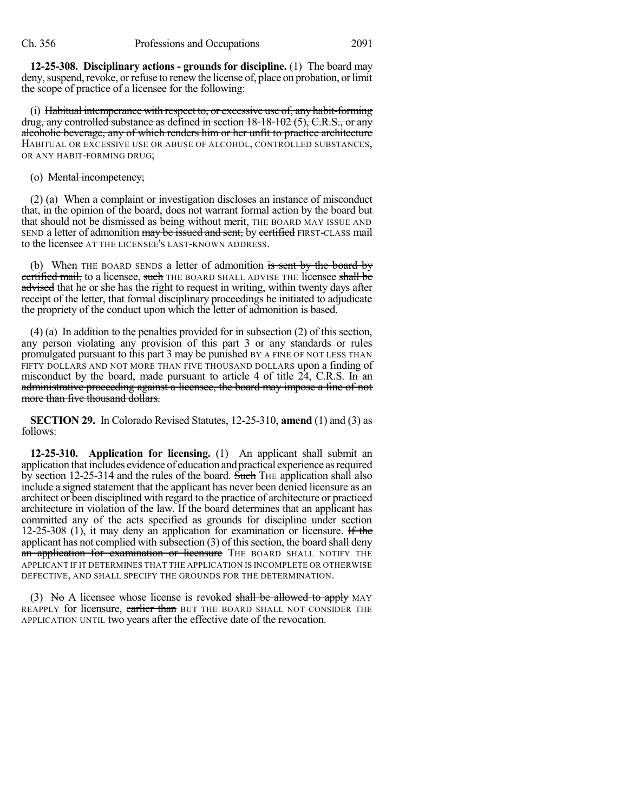**12-25-308. Disciplinary actions - grounds for discipline.** (1) The board may deny, suspend, revoke, or refuse to renew the license of, place on probation, or limit the scope of practice of a licensee for the following:

(i) Habitual intemperance with respect to, or excessive use of, any habit-forming drug, any controlled substance as defined in section 18-18-102 (5), C.R.S., or any alcoholic beverage, any of which renders him or her unfit to practice architecture HABITUAL OR EXCESSIVE USE OR ABUSE OF ALCOHOL, CONTROLLED SUBSTANCES, OR ANY HABIT-FORMING DRUG;

#### (o) Mental incompetency;

(2) (a) When a complaint or investigation discloses an instance of misconduct that, in the opinion of the board, does not warrant formal action by the board but that should not be dismissed as being without merit, THE BOARD MAY ISSUE AND SEND a letter of admonition may be issued and sent, by certified FIRST-CLASS mail to the licensee AT THE LICENSEE'S LAST-KNOWN ADDRESS.

(b) When THE BOARD SENDS a letter of admonition is sent by the board by certified mail, to a licensee, such THE BOARD SHALL ADVISE THE licensee shall be advised that he or she has the right to request in writing, within twenty days after receipt of the letter, that formal disciplinary proceedings be initiated to adjudicate the propriety of the conduct upon which the letter of admonition is based.

(4) (a) In addition to the penalties provided for in subsection (2) of this section, any person violating any provision of this part 3 or any standards or rules promulgated pursuant to this part 3 may be punished BY A FINE OF NOT LESS THAN FIFTY DOLLARS AND NOT MORE THAN FIVE THOUSAND DOLLARS upon a finding of misconduct by the board, made pursuant to article 4 of title  $24$ , C.R.S. In an administrative proceeding against a licensee, the board may impose a fine of not more than five thousand dollars.

**SECTION 29.** In Colorado Revised Statutes, 12-25-310, **amend** (1) and (3) as follows:

**12-25-310. Application for licensing.** (1) An applicant shall submit an application that includes evidence of education andpractical experience asrequired by section 12-25-314 and the rules of the board. Such THE application shall also include a signed statement that the applicant has never been denied licensure as an architect or been disciplined with regard to the practice of architecture or practiced architecture in violation of the law. If the board determines that an applicant has committed any of the acts specified as grounds for discipline under section 12-25-308 (1), it may deny an application for examination or licensure. If the applicant has not complied with subsection  $(3)$  of this section, the board shall deny an application for examination or licensure THE BOARD SHALL NOTIFY THE APPLICANT IF IT DETERMINES THAT THE APPLICATION IS INCOMPLETE OR OTHERWISE DEFECTIVE, AND SHALL SPECIFY THE GROUNDS FOR THE DETERMINATION.

(3) No A licensee whose license is revoked shall be allowed to apply MAY REAPPLY for licensure, earlier than BUT THE BOARD SHALL NOT CONSIDER THE APPLICATION UNTIL two years after the effective date of the revocation.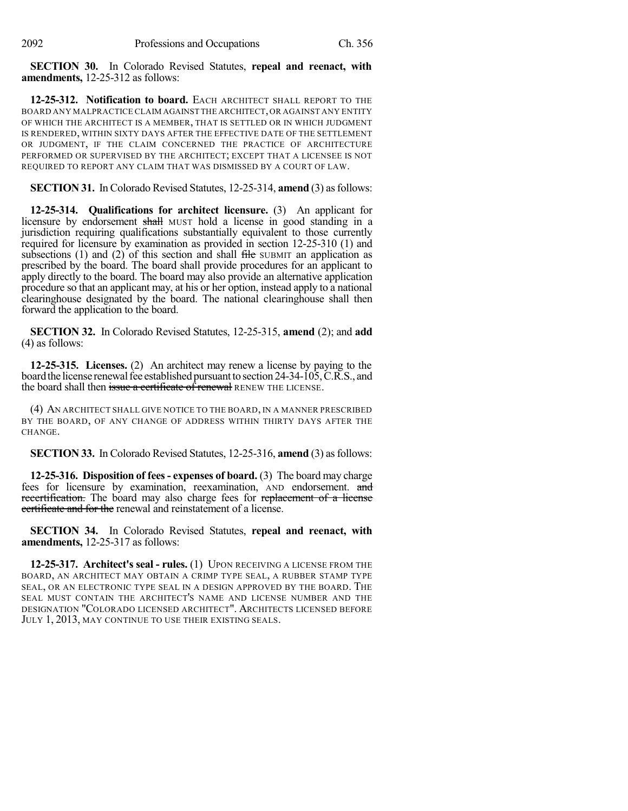**SECTION 30.** In Colorado Revised Statutes, **repeal and reenact, with amendments,** 12-25-312 as follows:

**12-25-312. Notification to board.** EACH ARCHITECT SHALL REPORT TO THE BOARD ANY MALPRACTICE CLAIM AGAINST THE ARCHITECT,OR AGAINST ANY ENTITY OF WHICH THE ARCHITECT IS A MEMBER, THAT IS SETTLED OR IN WHICH JUDGMENT IS RENDERED, WITHIN SIXTY DAYS AFTER THE EFFECTIVE DATE OF THE SETTLEMENT OR JUDGMENT, IF THE CLAIM CONCERNED THE PRACTICE OF ARCHITECTURE PERFORMED OR SUPERVISED BY THE ARCHITECT; EXCEPT THAT A LICENSEE IS NOT REQUIRED TO REPORT ANY CLAIM THAT WAS DISMISSED BY A COURT OF LAW.

**SECTION 31.** In Colorado Revised Statutes, 12-25-314, **amend** (3) asfollows:

**12-25-314. Qualifications for architect licensure.** (3) An applicant for licensure by endorsement shall MUST hold a license in good standing in a jurisdiction requiring qualifications substantially equivalent to those currently required for licensure by examination as provided in section 12-25-310 (1) and subsections  $(1)$  and  $(2)$  of this section and shall file SUBMIT an application as prescribed by the board. The board shall provide procedures for an applicant to apply directly to the board. The board may also provide an alternative application procedure so that an applicant may, at his or her option, instead apply to a national clearinghouse designated by the board. The national clearinghouse shall then forward the application to the board.

**SECTION 32.** In Colorado Revised Statutes, 12-25-315, **amend** (2); and **add** (4) as follows:

**12-25-315. Licenses.** (2) An architect may renew a license by paying to the board the license renewal fee established pursuant to section 24-34-105, C.R.S., and the board shall then issue a certificate of renewal RENEW THE LICENSE.

(4) AN ARCHITECT SHALL GIVE NOTICE TO THE BOARD, IN A MANNER PRESCRIBED BY THE BOARD, OF ANY CHANGE OF ADDRESS WITHIN THIRTY DAYS AFTER THE CHANGE.

**SECTION 33.** In Colorado Revised Statutes, 12-25-316, **amend** (3) asfollows:

**12-25-316. Disposition of fees- expenses of board.** (3) The board may charge fees for licensure by examination, reexamination, AND endorsement. and recertification. The board may also charge fees for replacement of a license certificate and for the renewal and reinstatement of a license.

**SECTION 34.** In Colorado Revised Statutes, **repeal and reenact, with amendments,** 12-25-317 as follows:

**12-25-317. Architect's seal - rules.** (1) UPON RECEIVING A LICENSE FROM THE BOARD, AN ARCHITECT MAY OBTAIN A CRIMP TYPE SEAL, A RUBBER STAMP TYPE SEAL, OR AN ELECTRONIC TYPE SEAL IN A DESIGN APPROVED BY THE BOARD. THE SEAL MUST CONTAIN THE ARCHITECT'S NAME AND LICENSE NUMBER AND THE DESIGNATION "COLORADO LICENSED ARCHITECT". ARCHITECTS LICENSED BEFORE JULY 1, 2013, MAY CONTINUE TO USE THEIR EXISTING SEALS.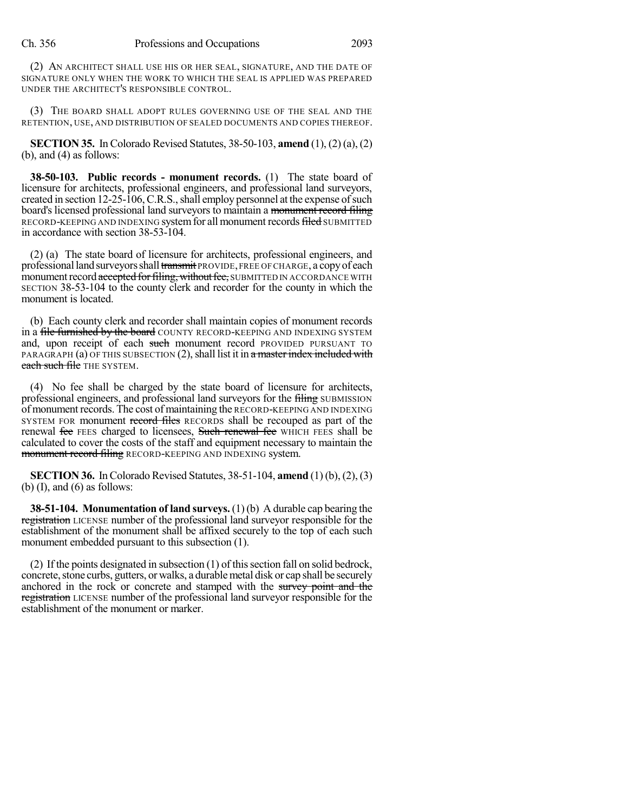(2) AN ARCHITECT SHALL USE HIS OR HER SEAL, SIGNATURE, AND THE DATE OF SIGNATURE ONLY WHEN THE WORK TO WHICH THE SEAL IS APPLIED WAS PREPARED UNDER THE ARCHITECT'S RESPONSIBLE CONTROL.

(3) THE BOARD SHALL ADOPT RULES GOVERNING USE OF THE SEAL AND THE RETENTION, USE, AND DISTRIBUTION OF SEALED DOCUMENTS AND COPIES THEREOF.

**SECTION 35.** In Colorado Revised Statutes, 38-50-103, **amend** (1), (2) (a), (2) (b), and (4) as follows:

**38-50-103. Public records - monument records.** (1) The state board of licensure for architects, professional engineers, and professional land surveyors, created in section 12-25-106, C.R.S., shall employ personnel at the expense of such board's licensed professional land surveyors to maintain a monument record filing RECORD-KEEPING AND INDEXING system for all monument records filed SUBMITTED in accordance with section 38-53-104.

(2) (a) The state board of licensure for architects, professional engineers, and professional land surveyors shall transmit PROVIDE, FREE OF CHARGE, a copy of each monument record accepted for filing, without fee, SUBMITTED IN ACCORDANCE WITH SECTION 38-53-104 to the county clerk and recorder for the county in which the monument is located.

(b) Each county clerk and recorder shall maintain copies of monument records in a file furnished by the board COUNTY RECORD-KEEPING AND INDEXING SYSTEM and, upon receipt of each such monument record PROVIDED PURSUANT TO PARAGRAPH (a) OF THIS SUBSECTION  $(2)$ , shall list it in a master index included with each such file THE SYSTEM.

(4) No fee shall be charged by the state board of licensure for architects, professional engineers, and professional land surveyors for the filing SUBMISSION of monument records. The cost of maintaining the RECORD-KEEPING AND INDEXING SYSTEM FOR monument record files RECORDS shall be recouped as part of the renewal fee FEES charged to licensees, Such renewal fee WHICH FEES shall be calculated to cover the costs of the staff and equipment necessary to maintain the monument record filing RECORD-KEEPING AND INDEXING system.

**SECTION 36.** In Colorado Revised Statutes, 38-51-104, **amend** (1) (b), (2), (3) (b)  $(I)$ , and  $(6)$  as follows:

**38-51-104. Monumentation of land surveys.** (1)(b) A durable cap bearing the registration LICENSE number of the professional land surveyor responsible for the establishment of the monument shall be affixed securely to the top of each such monument embedded pursuant to this subsection (1).

(2) If the points designated in subsection  $(1)$  of this section fall on solid bedrock, concrete, stone curbs, gutters, or walks, a durable metal disk or cap shall be securely anchored in the rock or concrete and stamped with the survey point and the registration LICENSE number of the professional land surveyor responsible for the establishment of the monument or marker.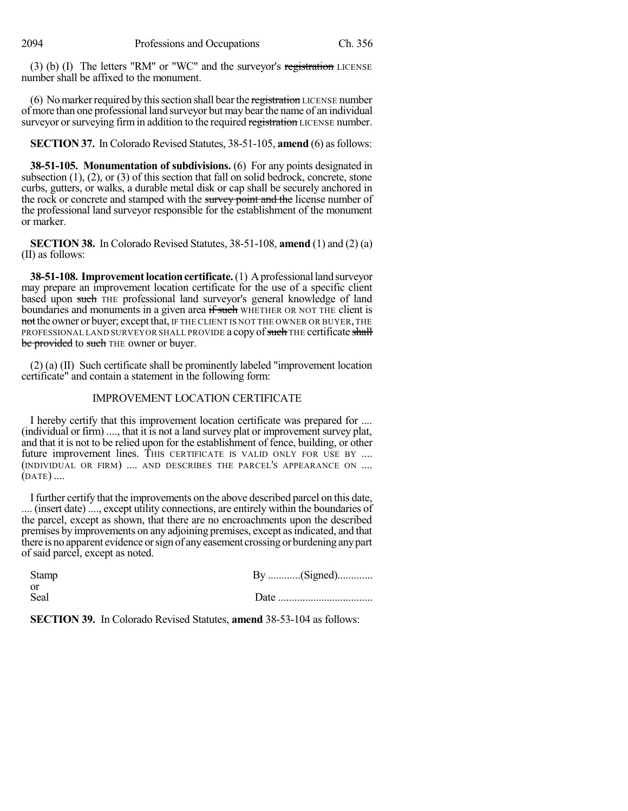(3) (b) (I) The letters "RM" or "WC" and the surveyor's registration LICENSE number shall be affixed to the monument.

(6) No marker required by this section shall bear the registration LICENSE number of more than one professional land surveyor but may bearthe name of an individual surveyor or surveying firm in addition to the required registration LICENSE number.

**SECTION 37.** In Colorado Revised Statutes, 38-51-105, **amend** (6) as follows:

**38-51-105. Monumentation of subdivisions.** (6) For any points designated in subsection (1), (2), or (3) of this section that fall on solid bedrock, concrete, stone curbs, gutters, or walks, a durable metal disk or cap shall be securely anchored in the rock or concrete and stamped with the survey point and the license number of the professional land surveyor responsible for the establishment of the monument or marker.

**SECTION 38.** In Colorado Revised Statutes, 38-51-108, **amend** (1) and (2) (a) (II) as follows:

**38-51-108. Improvement location certificate.** (1) A professional land surveyor may prepare an improvement location certificate for the use of a specific client based upon such THE professional land surveyor's general knowledge of land boundaries and monuments in a given area if such WHETHER OR NOT THE client is not the owner or buyer; except that, IF THE CLIENT IS NOT THE OWNER OR BUYER, THE PROFESSIONAL LAND SURVEYOR SHALL PROVIDE a copy of such THE certificate shall be provided to such THE owner or buyer.

(2) (a) (II) Such certificate shall be prominently labeled "improvement location certificate" and contain a statement in the following form:

## IMPROVEMENT LOCATION CERTIFICATE

I hereby certify that this improvement location certificate was prepared for ....  $(i\nu$  individual or firm $)$  ..., that it is not a land survey plat or improvement survey plat, and that it is not to be relied upon for the establishment of fence, building, or other future improvement lines. THIS CERTIFICATE IS VALID ONLY FOR USE BY .... (INDIVIDUAL OR FIRM) .... AND DESCRIBES THE PARCEL'S APPEARANCE ON .... (DATE) ....

Ifurther certify that the improvements on the above described parcel on this date, .... (insert date) ...., except utility connections, are entirely within the boundaries of the parcel, except as shown, that there are no encroachments upon the described premises by improvements on any adjoining premises, except as indicated, and that there is no apparent evidence orsign of anyeasement crossing or burdening anypart of said parcel, except as noted.

| Stamp        |  |
|--------------|--|
| - Or<br>Seal |  |

**SECTION 39.** In Colorado Revised Statutes, **amend** 38-53-104 as follows: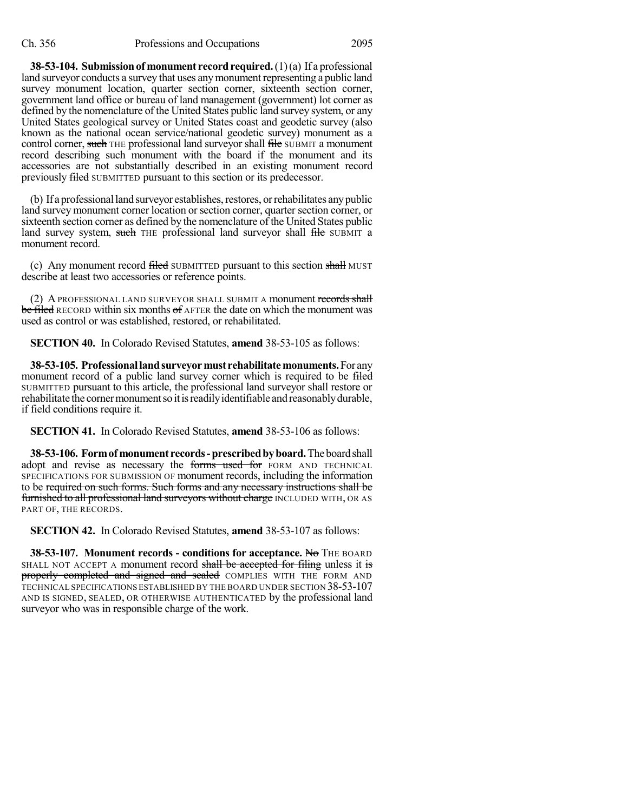**38-53-104.** Submission of monument record required. (1)(a) If a professional land surveyor conducts a survey that uses any monument representing a public land survey monument location, quarter section corner, sixteenth section corner, government land office or bureau of land management (government) lot corner as defined by the nomenclature of the United States public land survey system, or any United States geological survey or United States coast and geodetic survey (also known as the national ocean service/national geodetic survey) monument as a control corner, such THE professional land surveyor shall file SUBMIT a monument record describing such monument with the board if the monument and its accessories are not substantially described in an existing monument record previously filed SUBMITTED pursuant to this section or its predecessor.

(b) If a professional land surveyor establishes, restores, or rehabilitates any public land survey monument corner location orsection corner, quarter section corner, or sixteenth section corner as defined by the nomenclature of the United States public land survey system, such THE professional land surveyor shall file SUBMIT a monument record.

(c) Any monument record filed SUBMITTED pursuant to this section shall MUST describe at least two accessories or reference points.

(2) A PROFESSIONAL LAND SURVEYOR SHALL SUBMIT A monument records shall be filed RECORD within six months of  $A$ FTER the date on which the monument was used as control or was established, restored, or rehabilitated.

**SECTION 40.** In Colorado Revised Statutes, **amend** 38-53-105 as follows:

**38-53-105. Professionallandsurveyormust rehabilitatemonuments.**For any monument record of a public land survey corner which is required to be filed SUBMITTED pursuant to this article, the professional land surveyor shall restore or rehabilitate the corner monument so it is readily identifiable and reasonably durable, if field conditions require it.

**SECTION 41.** In Colorado Revised Statutes, **amend** 38-53-106 as follows:

**38-53-106. Formof monument records-prescribedbyboard.**Theboardshall adopt and revise as necessary the forms used for FORM AND TECHNICAL SPECIFICATIONS FOR SUBMISSION OF monument records, including the information to be required on such forms. Such forms and any necessary instructions shall be furnished to all professional land surveyors without charge INCLUDED WITH, OR AS PART OF, THE RECORDS.

**SECTION 42.** In Colorado Revised Statutes, **amend** 38-53-107 as follows:

**38-53-107. Monument records - conditions for acceptance.** No THE BOARD SHALL NOT ACCEPT A monument record shall be accepted for filing unless it is properly completed and signed and sealed COMPLIES WITH THE FORM AND TECHNICAL SPECIFICATIONS ESTABLISHED BY THE BOARD UNDER SECTION 38-53-107 AND IS SIGNED, SEALED, OR OTHERWISE AUTHENTICATED by the professional land surveyor who was in responsible charge of the work.